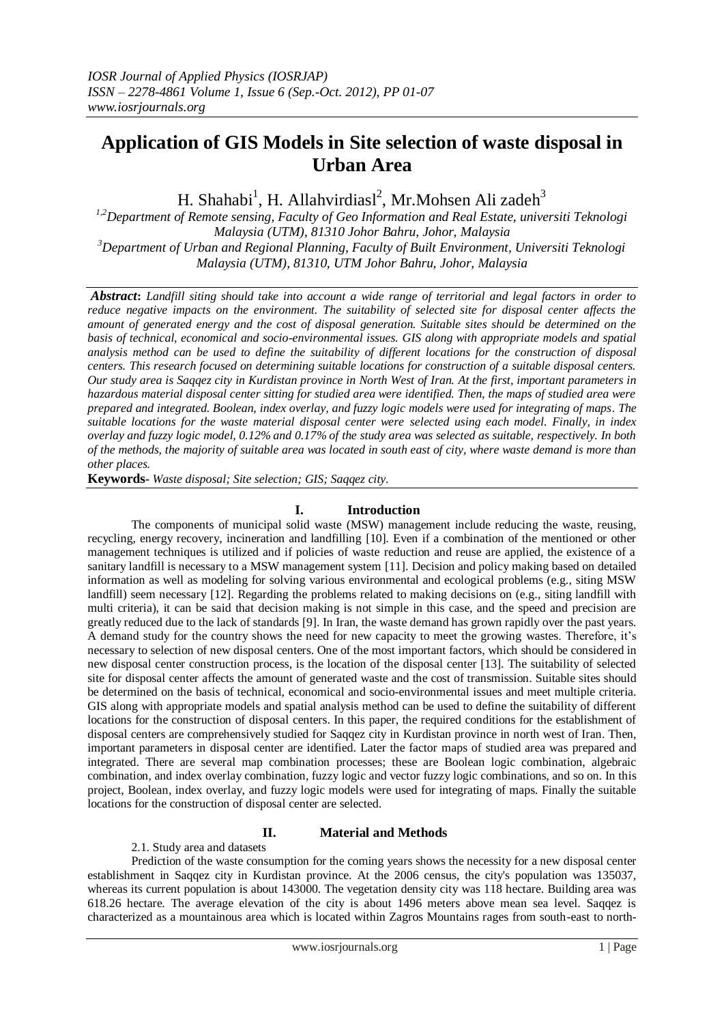# **Application of GIS Models in Site selection of waste disposal in Urban Area**

H. Shahabi<sup>1</sup>, H. Allahvirdiasl<sup>2</sup>, Mr. Mohsen Ali zadeh<sup>3</sup>

*1,2Department of Remote sensing, Faculty of Geo Information and Real Estate, universiti Teknologi Malaysia (UTM), 81310 Johor Bahru, Johor, Malaysia <sup>3</sup>Department of Urban and Regional Planning, Faculty of Built Environment, Universiti Teknologi Malaysia (UTM), 81310, UTM Johor Bahru, Johor, Malaysia*

*Abstract***:** *Landfill siting should take into account a wide range of territorial and legal factors in order to reduce negative impacts on the environment. The suitability of selected site for disposal center affects the amount of generated energy and the cost of disposal generation. Suitable sites should be determined on the basis of technical, economical and socio-environmental issues. GIS along with appropriate models and spatial analysis method can be used to define the suitability of different locations for the construction of disposal centers. This research focused on determining suitable locations for construction of a suitable disposal centers. Our study area is Saqqez city in Kurdistan province in North West of Iran. At the first, important parameters in hazardous material disposal center sitting for studied area were identified. Then, the maps of studied area were prepared and integrated. Boolean, index overlay, and fuzzy logic models were used for integrating of maps. The suitable locations for the waste material disposal center were selected using each model. Finally, in index overlay and fuzzy logic model, 0.12% and 0.17% of the study area was selected as suitable, respectively. In both of the methods, the majority of suitable area was located in south east of city, where waste demand is more than other places.*

**Keywords-** *Waste disposal; Site selection; GIS; Saqqez city*.

### **I. Introduction**

The components of municipal solid waste (MSW) management include reducing the waste, reusing, recycling, energy recovery, incineration and landfilling [10]. Even if a combination of the mentioned or other management techniques is utilized and if policies of waste reduction and reuse are applied, the existence of a sanitary landfill is necessary to a MSW management system [11]. Decision and policy making based on detailed information as well as modeling for solving various environmental and ecological problems (e.g., siting MSW landfill) seem necessary [12]. Regarding the problems related to making decisions on (e.g., siting landfill with multi criteria), it can be said that decision making is not simple in this case, and the speed and precision are greatly reduced due to the lack of standards [9]. In Iran, the waste demand has grown rapidly over the past years. A demand study for the country shows the need for new capacity to meet the growing wastes. Therefore, it's necessary to selection of new disposal centers. One of the most important factors, which should be considered in new disposal center construction process, is the location of the disposal center [13]. The suitability of selected site for disposal center affects the amount of generated waste and the cost of transmission. Suitable sites should be determined on the basis of technical, economical and socio-environmental issues and meet multiple criteria. GIS along with appropriate models and spatial analysis method can be used to define the suitability of different locations for the construction of disposal centers. In this paper, the required conditions for the establishment of disposal centers are comprehensively studied for Saqqez city in Kurdistan province in north west of Iran. Then, important parameters in disposal center are identified. Later the factor maps of studied area was prepared and integrated. There are several map combination processes; these are Boolean logic combination, algebraic combination, and index overlay combination, fuzzy logic and vector fuzzy logic combinations, and so on. In this project, Boolean, index overlay, and fuzzy logic models were used for integrating of maps. Finally the suitable locations for the construction of disposal center are selected.

### **II. Material and Methods**

2.1. Study area and datasets

Prediction of the waste consumption for the coming years shows the necessity for a new disposal center establishment in Saqqez city in Kurdistan province. At the 2006 census, the city's population was 135037, whereas its current population is about 143000. The vegetation density city was 118 hectare. Building area was 618.26 hectare. The average elevation of the city is about 1496 meters above mean sea level. Saqqez is characterized as a mountainous area which is located within Zagros Mountains rages from south-east to north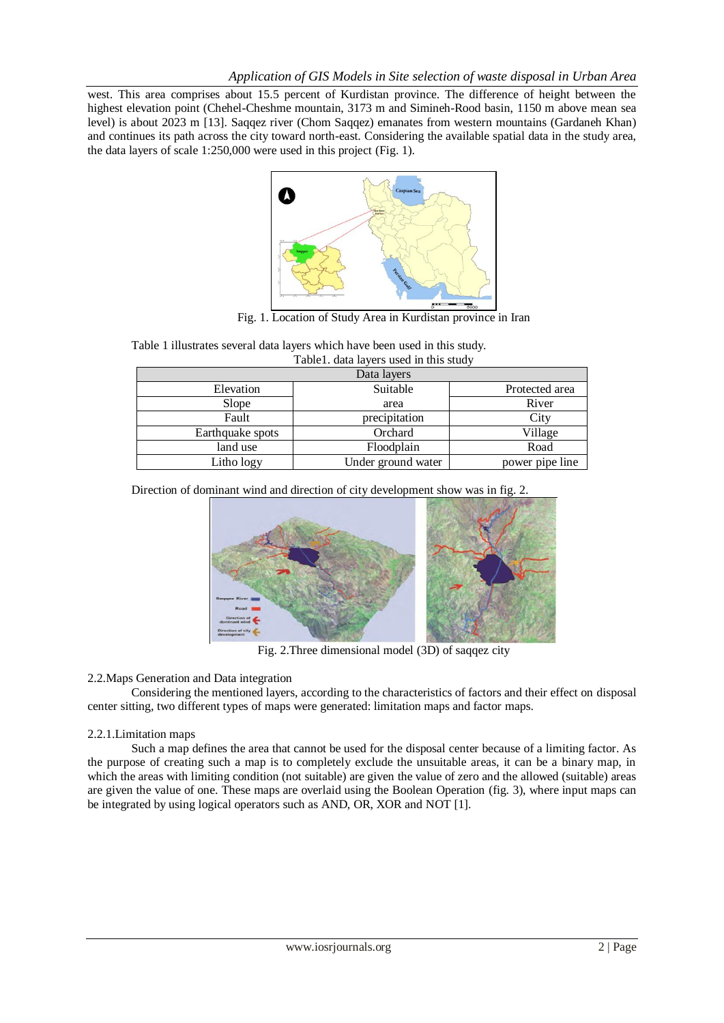west. This area comprises about 15.5 percent of Kurdistan province. The difference of height between the highest elevation point (Chehel-Cheshme mountain, 3173 m and Simineh-Rood basin, 1150 m above mean sea level) is about 2023 m [13]. Saqqez river (Chom Saqqez) emanates from western mountains (Gardaneh Khan) and continues its path across the city toward north-east. Considering the available spatial data in the study area, the data layers of scale 1:250,000 were used in this project (Fig. 1).



Fig. 1. Location of Study Area in Kurdistan province in Iran

|                  | Taoict. uaid idycle dscu ill tills stuuy |                 |  |
|------------------|------------------------------------------|-----------------|--|
| Data layers      |                                          |                 |  |
| Elevation        | Suitable<br>Protected area               |                 |  |
| Slope            | area                                     | River           |  |
| Fault            | precipitation                            | City            |  |
| Earthquake spots | Orchard                                  | Village         |  |
| land use         | Floodplain                               | Road            |  |
| Litho logy       | Under ground water                       | power pipe line |  |
|                  |                                          |                 |  |

Table 1 illustrates several data layers which have been used in this study. Table1. data layers used in this study

Direction of dominant wind and direction of city development show was in fig. 2.



Fig. 2.Three dimensional model (3D) of saqqez city

### 2.2.Maps Generation and Data integration

Considering the mentioned layers, according to the characteristics of factors and their effect on disposal center sitting, two different types of maps were generated: limitation maps and factor maps.

### 2.2.1.Limitation maps

Such a map defines the area that cannot be used for the disposal center because of a limiting factor. As the purpose of creating such a map is to completely exclude the unsuitable areas, it can be a binary map, in which the areas with limiting condition (not suitable) are given the value of zero and the allowed (suitable) areas are given the value of one. These maps are overlaid using the Boolean Operation (fig. 3), where input maps can be integrated by using logical operators such as AND, OR, XOR and NOT [1].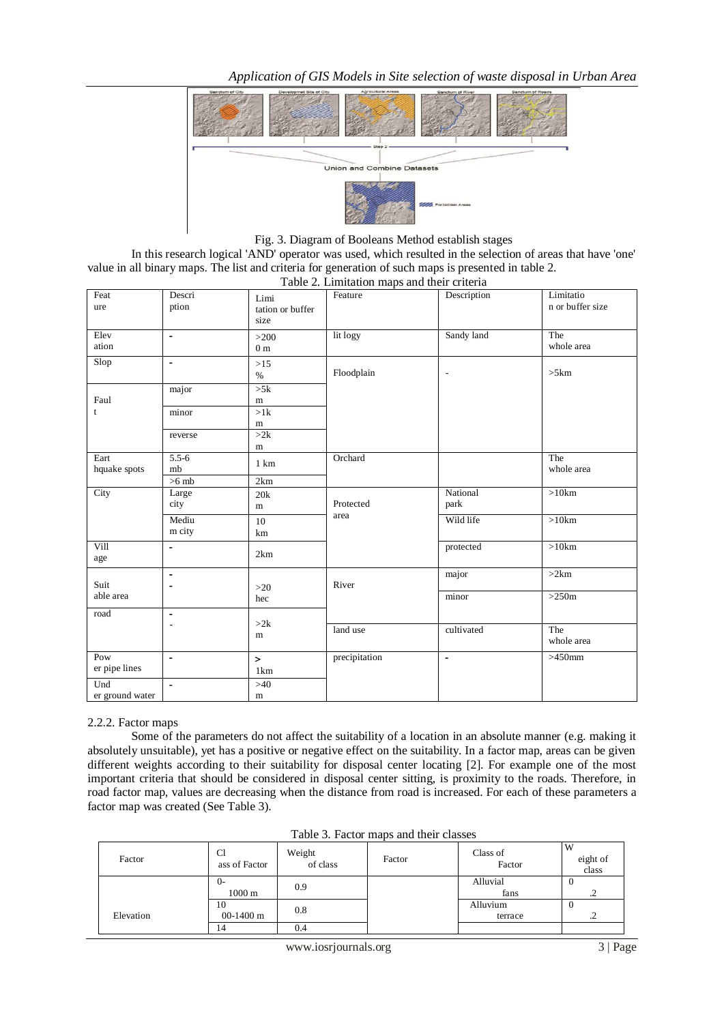*Application of GIS Models in Site selection of waste disposal in Urban Area*



Fig. 3. Diagram of Booleans Method establish stages

In this research logical 'AND' operator was used, which resulted in the selection of areas that have 'one' value in all binary maps. The list and criteria for generation of such maps is presented in table 2.

Table 2. Limitation maps and their criteria Limitatio n or buffer size Limi Feature Description tation or buffer size Descri ption Feat ure The whole area >200 lit logy Sandy land 0 m  $E$ lev  $\vert$  ation Floodplain and the state of the state of the state of the state of the state of the state of the state of the state of the state of the state of the state of the state of the state of the state of the state of the state of  $>15$  $\%$ Slop ->5k m major Faul t  $>1k$ m minor  $\sqrt{2k}$ m reverse The whole area Orchard 5.5-6 1 km mb Eart hquake spots  $>6$  mb 2km National >10km Protected park area 20k m Large city **City** 10 aica Wild life >10km km Mediu m city protected >10km  $2km$ Vill age  $major$   $>2km$ >20 River hec -  $S$ uit  $\qquad \qquad$   $\Box$ able area minor  $>250$ m  $>2k$ m - road The whole area land use cultivated > precipitation |- |>450mm 1km Pow  $\qquad \qquad$ er pipe lines  $>40$ m Und er ground water

### 2.2.2. Factor maps

Some of the parameters do not affect the suitability of a location in an absolute manner (e.g. making it absolutely unsuitable), yet has a positive or negative effect on the suitability. In a factor map, areas can be given different weights according to their suitability for disposal center locating [2]. For example one of the most important criteria that should be considered in disposal center sitting, is proximity to the roads. Therefore, in road factor map, values are decreasing when the distance from road is increased. For each of these parameters a factor map was created (See Table 3).

| 1 WOIV DI 1 WVVOI 111WDU WIIW WIVEL VIWDUVD |                          |                    |        |                     |                   |
|---------------------------------------------|--------------------------|--------------------|--------|---------------------|-------------------|
| Factor                                      | Cl<br>ass of Factor      | Weight<br>of class | Factor | Class of<br>Factor  | eight of<br>class |
|                                             | ()-<br>1000 <sub>m</sub> | 0.9                |        | Alluvial<br>fans    | 0<br>.2           |
| Elevation                                   | 10<br>$00-1400$ m        | 0.8                |        | Alluvium<br>terrace | 0<br>. 4          |
|                                             | 14                       | 0.4                |        |                     |                   |

Table 3. Factor maps and their classes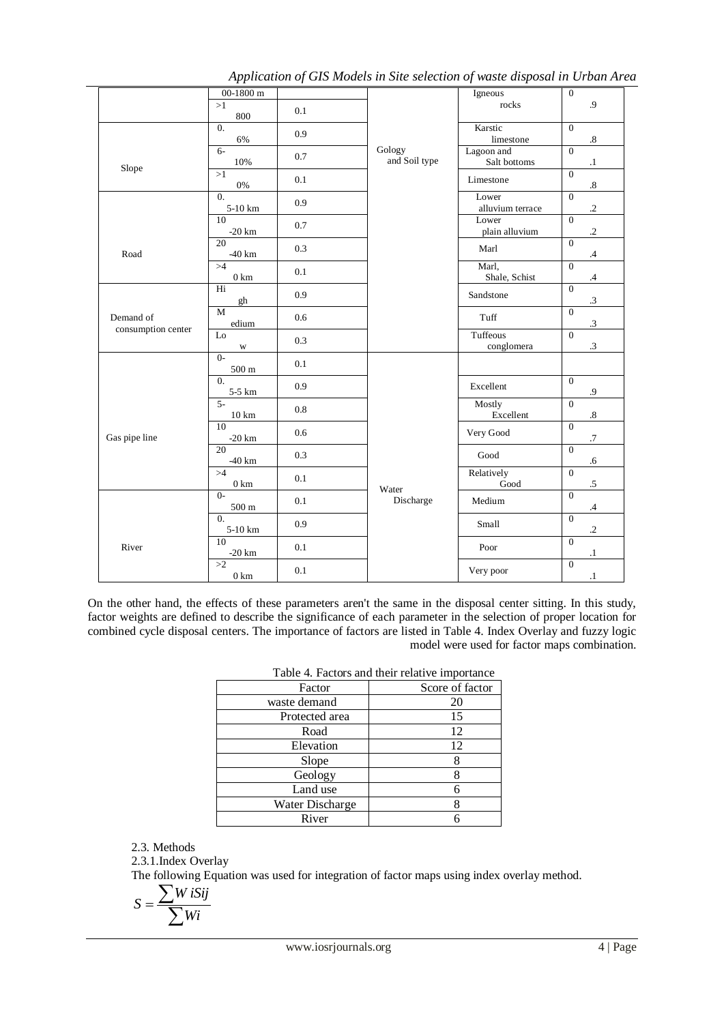|                    | 00-1800 $\mathrm{m}$        |         |                         | Igneous                    | $\mathbf{0}$                        |
|--------------------|-----------------------------|---------|-------------------------|----------------------------|-------------------------------------|
|                    | >1<br>800                   | 0.1     |                         | rocks                      | .9                                  |
|                    | $\Omega$ .<br>6%            | 0.9     |                         | Karstic<br>limestone       | $\Omega$<br>$\boldsymbol{.8}$       |
| Slope              | $6-$<br>10%                 | 0.7     | Gology<br>and Soil type | Lagoon and<br>Salt bottoms | $\theta$<br>$\cdot$                 |
|                    | >1<br>$0\%$                 | 0.1     |                         | Limestone                  | $\overline{0}$<br>$\boldsymbol{.8}$ |
|                    | $\overline{0}$ .<br>5-10 km | 0.9     |                         | Lower<br>alluvium terrace  | $\overline{0}$<br>$\cdot$           |
|                    | 10<br>$-20$ km              | 0.7     |                         | Lower<br>plain alluvium    | $\overline{0}$<br>$\cdot$           |
| Road               | $\overline{20}$<br>$-40$ km | 0.3     |                         | Marl                       | $\overline{0}$<br>$\cdot$ 4         |
|                    | >4<br>$0 \text{ km}$        | 0.1     |                         | Marl,<br>Shale, Schist     | $\overline{0}$<br>$\mathcal{A}$     |
|                    | Hi<br>gh                    | 0.9     |                         | Sandstone                  | $\overline{0}$<br>$\cdot$ 3         |
| Demand of          | $\mathbf{M}$<br>edium       | 0.6     |                         | Tuff                       | $\overline{0}$<br>$\boldsymbol{.3}$ |
| consumption center | Lo<br>$\mathbf W$           | 0.3     |                         | Tuffeous<br>conglomera     | $\overline{0}$<br>$.3\,$            |
|                    | $0 -$<br>$500 \text{ m}$    | 0.1     |                         |                            |                                     |
|                    | $\overline{0}$ .<br>5-5 km  | 0.9     |                         | Excellent                  | $\overline{0}$<br>$\cdot$ 9         |
| Gas pipe line      | $5 -$<br>$10 \text{ km}$    | 0.8     |                         | Mostly<br>Excellent        | $\theta$<br>$.8\,$                  |
|                    | 10<br>$-20$ km              | 0.6     |                         | Very Good                  | $\overline{0}$<br>.7                |
|                    | 20<br>$-40$ km              | 0.3     |                         | Good                       | $\theta$<br>.6                      |
|                    | >4<br>$0 \text{ km}$        | 0.1     | Water                   | Relatively<br>Good         | $\Omega$<br>$\cdot$                 |
|                    | $0-$<br>$500\;\mathrm{m}$   | $0.1\,$ | Discharge               | Medium                     | $\theta$<br>$\cdot$ 4               |
|                    | $\Omega$ .<br>5-10 km       | 0.9     |                         | Small                      | $\overline{0}$<br>$\cdot$           |
| River              | 10<br>$-20$ km              | 0.1     |                         | Poor                       | $\theta$<br>$\cdot$                 |
|                    | >2<br>$0\;{\rm km}$         | 0.1     |                         | Very poor                  | $\overline{0}$<br>$\cdot 1$         |

*Application of GIS Models in Site selection of waste disposal in Urban Area*

On the other hand, the effects of these parameters aren't the same in the disposal center sitting. In this study, factor weights are defined to describe the significance of each parameter in the selection of proper location for combined cycle disposal centers. The importance of factors are listed in Table 4. Index Overlay and fuzzy logic model were used for factor maps combination.

| I able 4. Factors and their relative importance |                 |
|-------------------------------------------------|-----------------|
| Factor                                          | Score of factor |
| waste demand                                    | 20              |
| Protected area                                  | 15              |
| Road                                            | 12              |
| Elevation                                       | 12              |
| Slope                                           |                 |
| Geology                                         |                 |
| Land use                                        |                 |
| Water Discharge                                 |                 |
| River                                           |                 |

## $Table 4. Factors and their relative important$

2.3. Methods

2.3.1.Index Overlay

The following Equation was used for integration of factor maps using index overlay method.

$$
S = \frac{\sum W i S i j}{\sum W i}
$$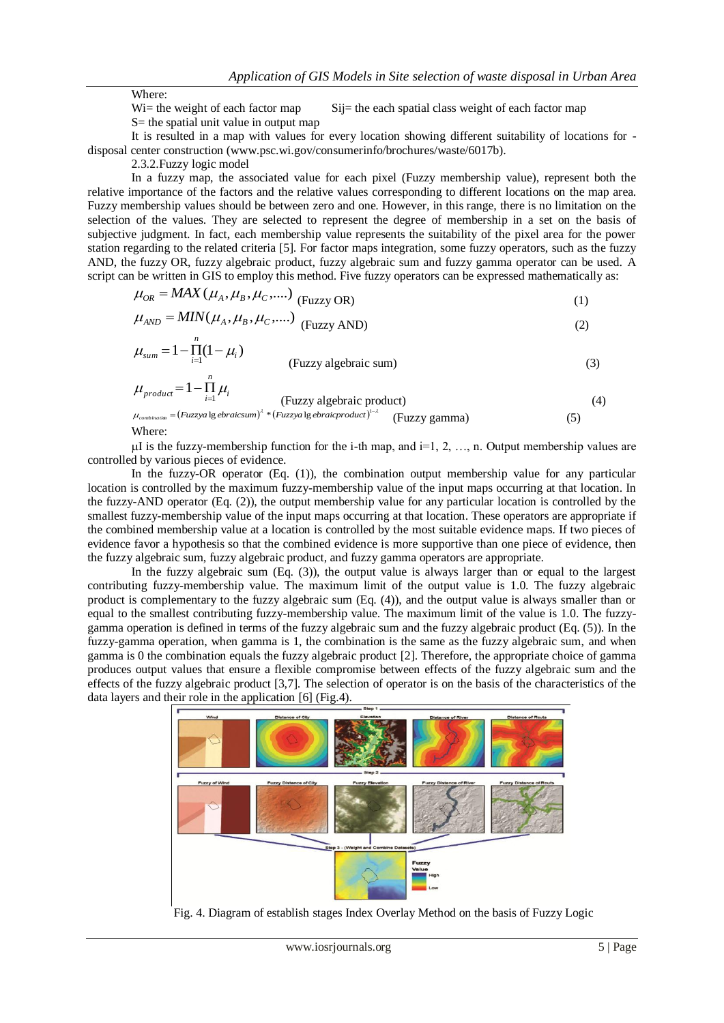Where:

 $Wi$ = the weight of each factor map Sij= the each spatial class weight of each factor map

S= the spatial unit value in output map

It is resulted in a map with values for every location showing different suitability of locations for disposal center construction [\(www.psc.wi.gov/consumerinfo/brochures/waste/6017b\)](http://www.psc.wi.gov/consumerinfo/brochures/waste/6017b).

2.3.2.Fuzzy logic model

In a fuzzy map, the associated value for each pixel (Fuzzy membership value), represent both the relative importance of the factors and the relative values corresponding to different locations on the map area. Fuzzy membership values should be between zero and one. However, in this range, there is no limitation on the selection of the values. They are selected to represent the degree of membership in a set on the basis of subjective judgment. In fact, each membership value represents the suitability of the pixel area for the power station regarding to the related criteria [5]. For factor maps integration, some fuzzy operators, such as the fuzzy AND, the fuzzy OR, fuzzy algebraic product, fuzzy algebraic sum and fuzzy gamma operator can be used. A script can be written in GIS to employ this method. Five fuzzy operators can be expressed mathematically as:

$$
\mu_{OR} = MAX(\mu_A, \mu_B, \mu_C, \dots) \left( \text{Fuzzy OR} \right) \tag{1}
$$

$$
\mu_{AND} = MIN(\mu_A, \mu_B, \mu_C, \dots) \quad \text{(Fuzzy AND)} \tag{2}
$$

$$
\mu_{sum} = 1 - \prod_{i=1}^{n} (1 - \mu_i)
$$
 (Fuzzy algebraic sum) (3)

$$
\mu_{\text{product}} = 1 - \prod_{i=1}^{n} \mu_i
$$
 (Fuzzy algebraic product) (4)

$$
\mu_{\text{combination}} = (Fuzzy a \lg e \text{braicsum})^{\lambda} * (Fuzzy a \lg e \text{braicproduct})^{1-\lambda} \qquad \text{(Fuzzy gamma)} \tag{5}
$$

Where:

uI is the fuzzy-membership function for the i-th map, and  $i=1, 2, \ldots$ , n. Output membership values are controlled by various pieces of evidence.

In the fuzzy-OR operator (Eq. (1)), the combination output membership value for any particular location is controlled by the maximum fuzzy-membership value of the input maps occurring at that location. In the fuzzy-AND operator (Eq. (2)), the output membership value for any particular location is controlled by the smallest fuzzy-membership value of the input maps occurring at that location. These operators are appropriate if the combined membership value at a location is controlled by the most suitable evidence maps. If two pieces of evidence favor a hypothesis so that the combined evidence is more supportive than one piece of evidence, then the fuzzy algebraic sum, fuzzy algebraic product, and fuzzy gamma operators are appropriate.

In the fuzzy algebraic sum (Eq. (3)), the output value is always larger than or equal to the largest contributing fuzzy-membership value. The maximum limit of the output value is 1.0. The fuzzy algebraic product is complementary to the fuzzy algebraic sum (Eq. (4)), and the output value is always smaller than or equal to the smallest contributing fuzzy-membership value. The maximum limit of the value is 1.0. The fuzzygamma operation is defined in terms of the fuzzy algebraic sum and the fuzzy algebraic product (Eq. (5)). In the fuzzy-gamma operation, when gamma is 1, the combination is the same as the fuzzy algebraic sum, and when gamma is 0 the combination equals the fuzzy algebraic product [2]. Therefore, the appropriate choice of gamma produces output values that ensure a flexible compromise between effects of the fuzzy algebraic sum and the effects of the fuzzy algebraic product [3,7]. The selection of operator is on the basis of the characteristics of the data layers and their role in the application [6] (Fig.4).



Fig. 4. Diagram of establish stages Index Overlay Method on the basis of Fuzzy Logic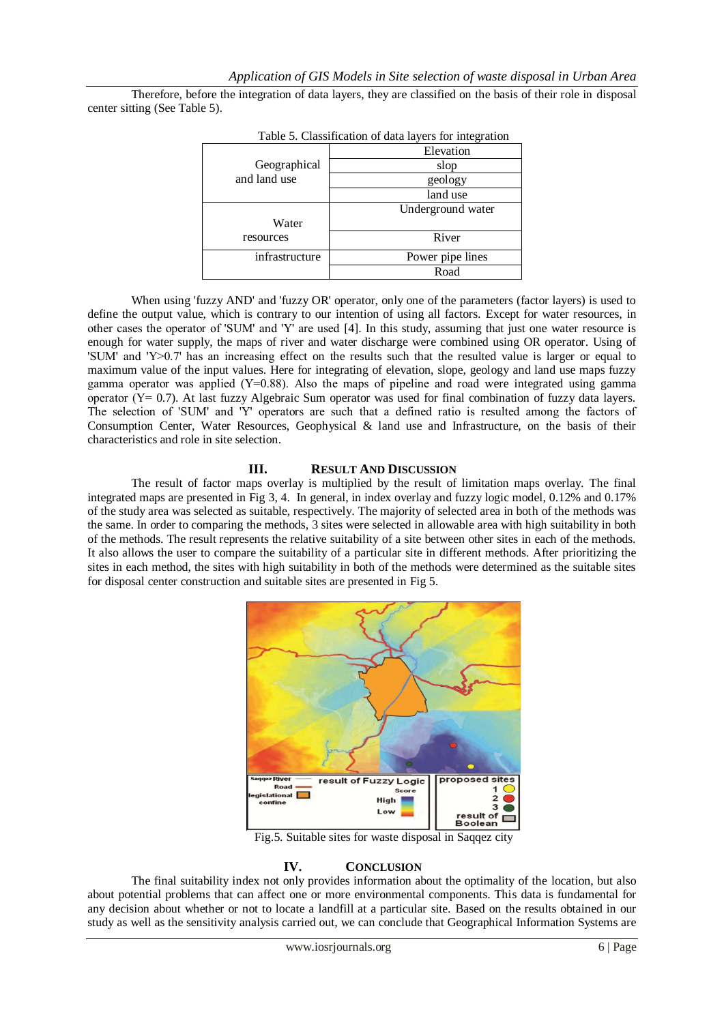Therefore, before the integration of data layers, they are classified on the basis of their role in disposal center sitting (See Table 5).

| I able 5. Classification of data layers for integration |                   |  |
|---------------------------------------------------------|-------------------|--|
|                                                         | Elevation         |  |
| Geographical                                            | slop              |  |
| and land use                                            | geology           |  |
|                                                         | land use          |  |
|                                                         | Underground water |  |
| Water                                                   |                   |  |
| resources                                               | River             |  |
| infrastructure                                          | Power pipe lines  |  |
|                                                         | Road              |  |

Table 5. Classification of data layers for integration

When using 'fuzzy AND' and 'fuzzy OR' operator, only one of the parameters (factor layers) is used to define the output value, which is contrary to our intention of using all factors. Except for water resources, in other cases the operator of 'SUM' and 'Υ' are used [4]. In this study, assuming that just one water resource is enough for water supply, the maps of river and water discharge were combined using OR operator. Using of 'SUM' and 'Υ>0.7' has an increasing effect on the results such that the resulted value is larger or equal to maximum value of the input values. Here for integrating of elevation, slope, geology and land use maps fuzzy gamma operator was applied (Υ=0.88). Also the maps of pipeline and road were integrated using gamma operator (Υ= 0.7). At last fuzzy Algebraic Sum operator was used for final combination of fuzzy data layers. The selection of 'SUM' and 'Υ' operators are such that a defined ratio is resulted among the factors of Consumption Center, Water Resources, Geophysical & land use and Infrastructure, on the basis of their characteristics and role in site selection.

### **III. RESULT AND DISCUSSION**

The result of factor maps overlay is multiplied by the result of limitation maps overlay. The final integrated maps are presented in Fig 3, 4. In general, in index overlay and fuzzy logic model, 0.12% and 0.17% of the study area was selected as suitable, respectively. The majority of selected area in both of the methods was the same. In order to comparing the methods, 3 sites were selected in allowable area with high suitability in both of the methods. The result represents the relative suitability of a site between other sites in each of the methods. It also allows the user to compare the suitability of a particular site in different methods. After prioritizing the sites in each method, the sites with high suitability in both of the methods were determined as the suitable sites for disposal center construction and suitable sites are presented in Fig 5.



Fig.5. Suitable sites for waste disposal in Saqqez city

### **IV. CONCLUSION**

The final suitability index not only provides information about the optimality of the location, but also about potential problems that can affect one or more environmental components. This data is fundamental for any decision about whether or not to locate a landfill at a particular site. Based on the results obtained in our study as well as the sensitivity analysis carried out, we can conclude that Geographical Information Systems are